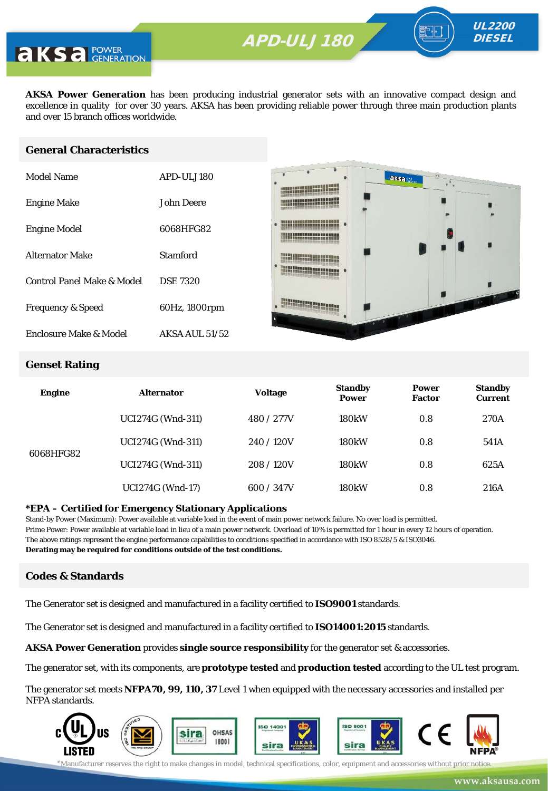

**AKS** a POWER

**AKSA Power Generation** has been producing industrial generator sets with an innovative compact design and excellence in quality for over 30 years. AKSA has been providing reliable power through three main production plants and over 15 branch offices worldwide.

#### **General Characteristics**

| Model Name                   | APD-ULJ180            |
|------------------------------|-----------------------|
| <b>Engine Make</b>           | John Deere            |
| <b>Engine Model</b>          | 6068HFG82             |
| <b>Alternator Make</b>       | Stamford              |
| Control Panel Make & Model   | <b>DSE 7320</b>       |
| <b>Frequency &amp; Speed</b> | 60Hz, 1800rpm         |
| Enclosure Make & Model       | <b>AKSA AUL 51/52</b> |



#### **Genset Rating**

| <b>Engine</b> | <b>Alternator</b>        | <b>Voltage</b> | <b>Standby</b><br><b>Power</b> | <b>Power</b><br><b>Factor</b> | <b>Standby</b><br><b>Current</b> |
|---------------|--------------------------|----------------|--------------------------------|-------------------------------|----------------------------------|
|               | <b>UCI274G</b> (Wnd-311) | 480 / 277V     | <b>180kW</b>                   | 0.8                           | 270A                             |
| 6068HFG82     | <b>UCI274G</b> (Wnd-311) | 240/120V       | <b>180kW</b>                   | 0.8                           | 541A                             |
|               | <b>UCI274G (Wnd-311)</b> | 208/120V       | <b>180kW</b>                   | 0.8                           | 625A                             |
|               | <b>UCI274G</b> (Wnd-17)  | 600 / 347V     | <b>180kW</b>                   | 0.8                           | 216A                             |

#### **\*EPA – Certified for Emergency Stationary Applications**

Stand-by Power (Maximum): Power available at variable load in the event of main power network failure. No over load is permitted. Prime Power: Power available at variable load in lieu of a main power network. Overload of 10% is permitted for 1 hour in every 12 hours of operation. The above ratings represent the engine performance capabilities to conditions specified in accordance with ISO 8528/5 & ISO3046. **Derating may be required for conditions outside of the test conditions.**

### **Codes & Standards**

The Generator set is designed and manufactured in a facility certified to **ISO9001** standards.

The Generator set is designed and manufactured in a facility certified to **ISO14001:2015** standards.

**AKSA Power Generation** provides **single source responsibility** for the generator set & accessories.

The generator set, with its components, are **prototype tested** and **production tested** according to the UL test program.

The generator set meets **NFPA70, 99, 110, 37** Level 1 when equipped with the necessary accessories and installed per NFPA standards.

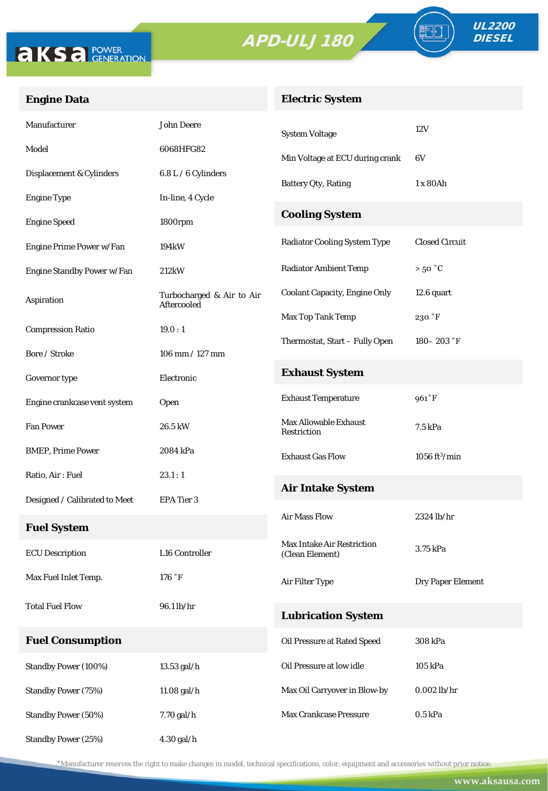



FO

# **Engine Data**

# **Electric System**

| Manufacturer                  | <b>John Deere</b>                               | <b>System Voltage</b>                                | 12V                         |
|-------------------------------|-------------------------------------------------|------------------------------------------------------|-----------------------------|
| Model                         | 6068HFG82                                       | Min Voltage at ECU during crank                      | 6V                          |
| Displacement & Cylinders      | 6.8 L / 6 Cylinders                             | <b>Battery Qty, Rating</b>                           | 1 x 80Ah                    |
| <b>Engine Type</b>            | In-line, 4 Cycle                                |                                                      |                             |
| <b>Engine Speed</b>           | 1800rpm                                         | <b>Cooling System</b>                                |                             |
| Engine Prime Power w/Fan      | 194kW                                           | <b>Radiator Cooling System Type</b>                  | <b>Closed Circuit</b>       |
| Engine Standby Power w/Fan    | 212kW                                           | <b>Radiator Ambient Temp</b>                         | $>50\text{ °C}$             |
| Aspiration                    | Turbocharged & Air to Air<br><b>Aftercooled</b> | <b>Coolant Capacity, Engine Only</b>                 | 12.6 quart                  |
| <b>Compression Ratio</b>      | 19.0:1                                          | Max Top Tank Temp                                    | 230 °F                      |
| Bore / Stroke                 | $106$ mm $/ 127$ mm                             | Thermostat, Start - Fully Open                       | $180 - 203$ $\degree$ F     |
| Governor type                 | Electronic                                      | <b>Exhaust System</b>                                |                             |
| Engine crankcase vent system  | Open                                            | <b>Exhaust Temperature</b>                           | 961°F                       |
| <b>Fan Power</b>              | 26.5 kW                                         | <b>Max Allowable Exhaust</b><br>Restriction          | 7.5 kPa                     |
| <b>BMEP, Prime Power</b>      | 2084 kPa                                        | <b>Exhaust Gas Flow</b>                              | $1056$ ft <sup>3</sup> /min |
| Ratio, Air: Fuel              | 23.1:1                                          | <b>Air Intake System</b>                             |                             |
| Designed / Calibrated to Meet | <b>EPA Tier 3</b>                               |                                                      |                             |
| <b>Fuel System</b>            |                                                 | <b>Air Mass Flow</b>                                 | 2324 lb/hr                  |
| <b>ECU</b> Description        | L16 Controller                                  | <b>Max Intake Air Restriction</b><br>(Clean Element) | 3.75 kPa                    |
| Max Fuel Inlet Temp.          | 176 °F                                          | Air Filter Type                                      | Dry Paper Element           |
| <b>Total Fuel Flow</b>        | 96.1 lb/hr                                      | <b>Lubrication System</b>                            |                             |
| <b>Fuel Consumption</b>       |                                                 | Oil Pressure at Rated Speed                          | 308 kPa                     |
| Standby Power (100%)          | 13.53 gal/h                                     | Oil Pressure at low idle                             | 105 kPa                     |
| <b>Standby Power (75%)</b>    | 11.08 gal/h                                     | Max Oil Carryover in Blow-by                         | $0.002$ lb/hr               |
| Standby Power (50%)           | 7.70 gal/h                                      | Max Crankcase Pressure                               | $0.5$ kPa                   |
| Standby Power (25%)           | 4.30 gal/h                                      |                                                      |                             |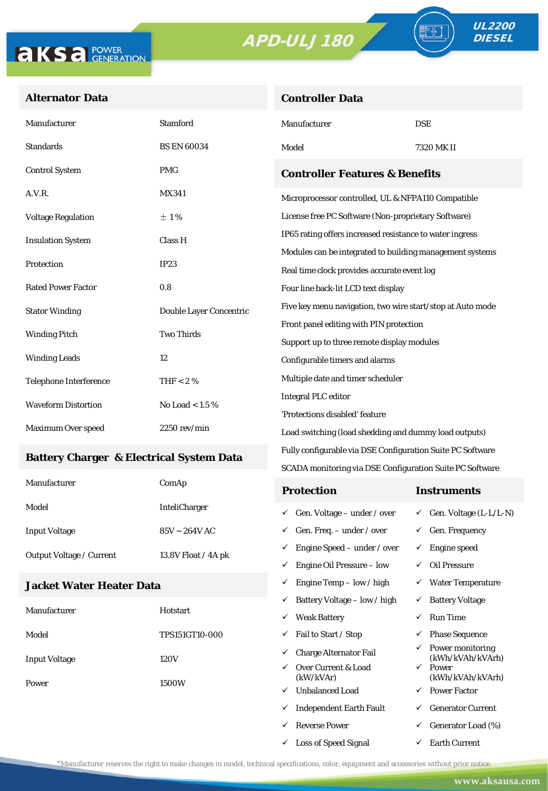**Controller Data**





<u> - F</u>

# **Alternator Data**

| Manufacturer                                     | <b>Stamford</b>         | Manufacturer                                                                                            | <b>DSE</b> |  |
|--------------------------------------------------|-------------------------|---------------------------------------------------------------------------------------------------------|------------|--|
| <b>Standards</b>                                 | <b>BS EN 60034</b>      | Model                                                                                                   | 7320 MK II |  |
| <b>Control System</b>                            | <b>PMG</b>              | <b>Controller Features &amp; Benefits</b>                                                               |            |  |
| A.V.R.                                           | <b>MX341</b>            | Microprocessor controlled, UL & NFPA110 Compatible                                                      |            |  |
| <b>Voltage Regulation</b>                        | ±1%                     | License free PC Software (Non-proprietary Software)                                                     |            |  |
| <b>Insulation System</b>                         | Class H                 | IP65 rating offers increased resistance to water ingress                                                |            |  |
| Protection                                       | IP23                    | Modules can be integrated to building management systems<br>Real time clock provides accurate event log |            |  |
| <b>Rated Power Factor</b>                        | 0.8                     | Four line back-lit LCD text display                                                                     |            |  |
| <b>Stator Winding</b>                            | Double Layer Concentric | Five key menu navigation, two wire start/stop at Auto mode                                              |            |  |
| <b>Two Thirds</b><br><b>Winding Pitch</b>        |                         | Front panel editing with PIN protection                                                                 |            |  |
|                                                  |                         | Support up to three remote display modules                                                              |            |  |
| <b>Winding Leads</b>                             | 12                      | Configurable timers and alarms                                                                          |            |  |
| <b>Telephone Interference</b>                    | THF < 2 $%$             | Multiple date and timer scheduler                                                                       |            |  |
| <b>Waveform Distortion</b><br>No Load $< 1.5 \%$ |                         | <b>Integral PLC editor</b>                                                                              |            |  |
|                                                  |                         | 'Protections disabled' feature                                                                          |            |  |
| Maximum Over speed                               | $2250$ rev/min          | Load switching (load shedding and dummy load outputs)                                                   |            |  |

#### **Battery Charger & Electrical System Data**

| Manufacturer                    | ComAp                | <b>Protection</b>                         | Instruments                         |
|---------------------------------|----------------------|-------------------------------------------|-------------------------------------|
| Model                           | <b>InteliCharger</b> | $\checkmark$ Gen. Voltage – under / over  | $\checkmark$ Gen. Voltage (L-L/L-N) |
| <b>Input Voltage</b>            | $85V - 264V$ AC      | $\checkmark$ Gen. Freq. – under / over    | $\checkmark$ Gen. Frequency         |
| <b>Output Voltage / Current</b> | 13.8V Float / 4A pk  | $\checkmark$ Engine Speed – under / over  | Engine speed                        |
|                                 |                      | Engine Oil Pressure – low<br>$\checkmark$ | Oil Pressure                        |

Fully configurable via DSE Configuration Suite PC Software SCADA monitoring via DSE Configuration Suite PC Software

 $\checkmark$  Engine Temp – low / high  $\checkmark$  Water Temperature

 $\checkmark$  Loss of Speed Signal  $\checkmark$  Earth Current

#### **Jacket Water Heater Data**

|                      |                       | ✓ | Battery Voltage – low / high     | $\checkmark$ | <b>Battery Voltage</b>               |
|----------------------|-----------------------|---|----------------------------------|--------------|--------------------------------------|
| Manufacturer         | Hotstart              | ✓ | <b>Weak Battery</b>              | ✓            | <b>Run Time</b>                      |
| Model                | <b>TPS151GT10-000</b> | ✓ | Fail to Start / Stop             | ✓            | <b>Phase Sequence</b>                |
| <b>Input Voltage</b> | 120V                  | ✓ | <b>Charge Alternator Fail</b>    | ✓            | Power monitoring<br>(kWh/kVAh/kVArh) |
|                      | ✓<br>1500W<br>✓       |   | Over Current & Load<br>(kW/kVAr) | $\checkmark$ | Power<br>(kWh/kVAh/kVArh)            |
| Power                |                       |   | <b>Unbalanced Load</b>           | $\checkmark$ | <b>Power Factor</b>                  |
|                      |                       | ✓ | <b>Independent Earth Fault</b>   | ✓            | <b>Generator Current</b>             |
|                      |                       |   | <b>Reverse Power</b>             | ✓            | Generator Load (%)                   |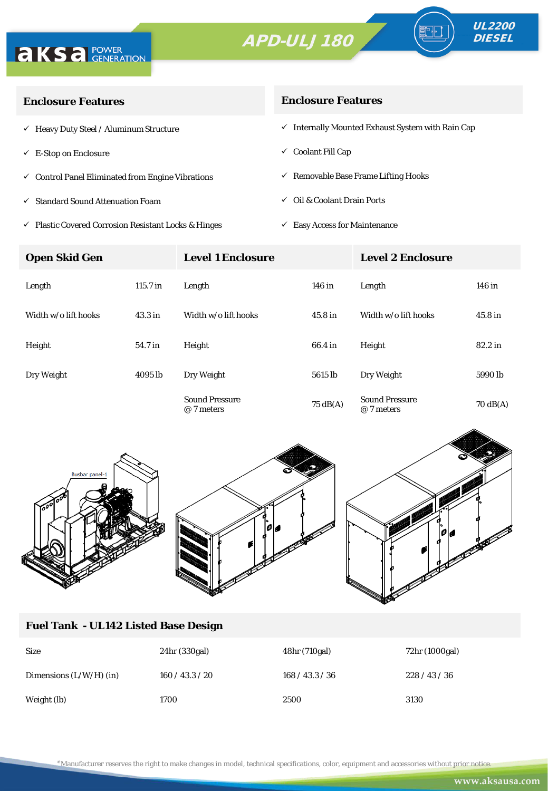



∘⊪

| <b>Enclosure Features</b>                                    | <b>Enclosure Features</b>                                    |  |  |
|--------------------------------------------------------------|--------------------------------------------------------------|--|--|
| $\checkmark$ Heavy Duty Steel / Aluminum Structure           | $\checkmark$ Internally Mounted Exhaust System with Rain Cap |  |  |
| $\checkmark$ E-Stop on Enclosure                             | $\checkmark$ Coolant Fill Cap                                |  |  |
| $\checkmark$ Control Panel Eliminated from Engine Vibrations | $\checkmark$ Removable Base Frame Lifting Hooks              |  |  |
| ✓ Standard Sound Attenuation Foam                            | Oil & Coolant Drain Ports<br>$\checkmark$                    |  |  |
|                                                              |                                                              |  |  |

 $\checkmark$ Plastic Covered Corrosion Resistant Locks & Hinges

 $\checkmark$  Easy Access for Maintenance

| <b>Open Skid Gen</b> |                    | <b>Level 1 Enclosure</b>            |                    | <b>Level 2 Enclosure</b>            |                    |  |
|----------------------|--------------------|-------------------------------------|--------------------|-------------------------------------|--------------------|--|
| Length               | $115.7$ in         | Length                              | 146 in             | Length                              | 146 in             |  |
| Width w/o lift hooks | 43.3 <sub>in</sub> | Width w/o lift hooks                | 45.8 <sub>in</sub> | Width w/o lift hooks                | 45.8 in            |  |
| Height               | 54.7 in            | Height                              | 66.4 in            | Height                              | 82.2 in            |  |
| Dry Weight           | 4095 lb            | Dry Weight                          | 5615 lb            | Dry Weight                          | 5990 <sub>lb</sub> |  |
|                      |                    | <b>Sound Pressure</b><br>@ 7 meters | $75 \text{ dB(A)}$ | <b>Sound Pressure</b><br>@ 7 meters | $70 \text{ dB(A)}$ |  |



### **Fuel Tank - UL142 Listed Base Design**

| <b>Size</b>               | 24hr (330gal)   | 48hr (710gal)   | 72hr (1000gal) |
|---------------------------|-----------------|-----------------|----------------|
| Dimensions $(L/W/H)$ (in) | 160 / 43.3 / 20 | 168 / 43.3 / 36 | 228/43/36      |
| Weight (lb)               | 1700            | 2500            | 3130           |